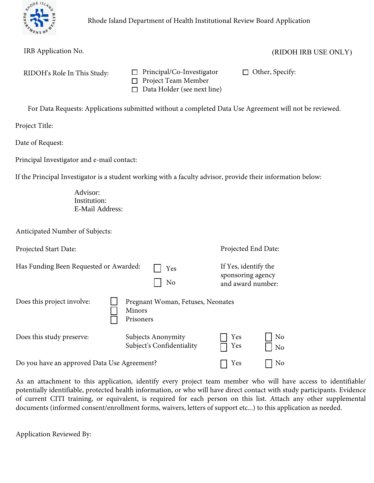

| IRB Application No.                         |                                                                                      | (RIDOH IRB USE ONLY)                                                                                        |
|---------------------------------------------|--------------------------------------------------------------------------------------|-------------------------------------------------------------------------------------------------------------|
| RIDOH's Role In This Study:                 | Principal/Co-Investigator<br>Project Team Member<br>□<br>Data Holder (see next line) | Other, Specify:<br>$\Box$                                                                                   |
|                                             |                                                                                      | For Data Requests: Applications submitted without a completed Data Use Agreement will not be reviewed.      |
| Project Title:                              |                                                                                      |                                                                                                             |
| Date of Request:                            |                                                                                      |                                                                                                             |
| Principal Investigator and e-mail contact:  |                                                                                      |                                                                                                             |
|                                             |                                                                                      | If the Principal Investigator is a student working with a faculty advisor, provide their information below: |
| Advisor:<br>Institution:<br>E-Mail Address: |                                                                                      |                                                                                                             |
| Anticipated Number of Subjects:             |                                                                                      |                                                                                                             |
| Projected Start Date:                       |                                                                                      | Projected End Date:                                                                                         |
| Has Funding Been Requested or Awarded:      | Yes<br>N <sub>o</sub>                                                                | If Yes, identify the<br>sponsoring agency<br>and award number:                                              |
| Does this project involve:                  | Pregnant Woman, Fetuses, Neonates                                                    |                                                                                                             |

Subject's Confidentiality Do you have an approved Data Use Agreement? <br> T Yes  $\Box$  No No As an attachment to this application, identify every project team member who will have access to identifiable/

Minors Prisoners

Does this study preserve: Subjects Anonymity

potentially identifiable, protected health information, or who will have direct contact with study participants. Evidence of current CITI training, or equivalent, is required for each person on this list. Attach any other supplemental documents (informed consent/enrollment forms, waivers, letters of support etc...) to this application as needed.

No

Application Reviewed By: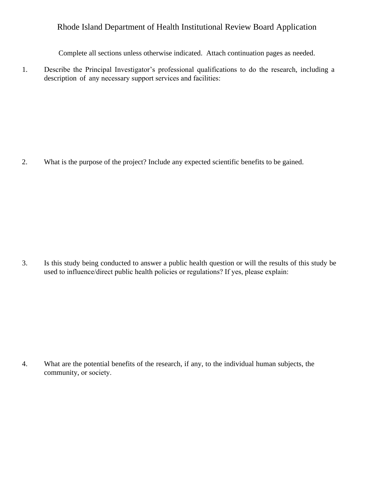Complete all sections unless otherwise indicated. Attach continuation pages as needed.

1. Describe the Principal Investigator's professional qualifications to do the research, including a description of any necessary support services and facilities:

2. What is the purpose of the project? Include any expected scientific benefits to be gained.

3. Is this study being conducted to answer a public health question or will the results of this study be used to influence/direct public health policies or regulations? If yes, please explain:

4. What are the potential benefits of the research, if any, to the individual human subjects, the community, or society.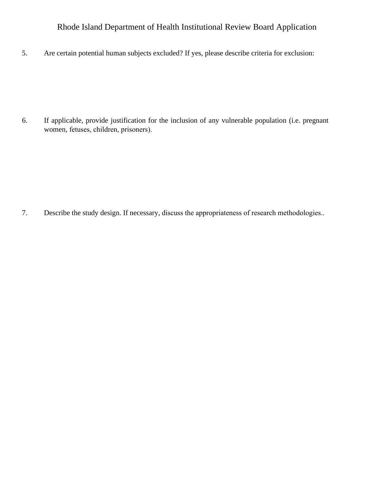5. Are certain potential human subjects excluded? If yes, please describe criteria for exclusion:

6. If applicable, provide justification for the inclusion of any vulnerable population (i.e. pregnant women, fetuses, children, prisoners).

7. Describe the study design. If necessary, discuss the appropriateness of research methodologies..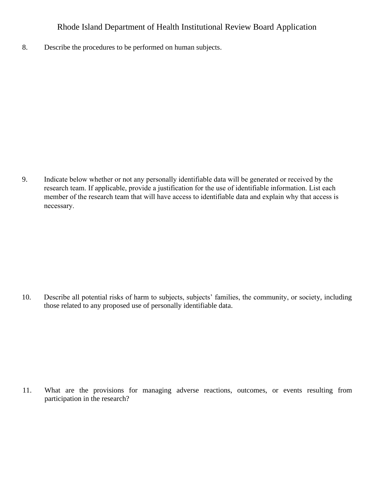8. Describe the procedures to be performed on human subjects.

9. Indicate below whether or not any personally identifiable data will be generated or received by the research team. If applicable, provide a justification for the use of identifiable information. List each member of the research team that will have access to identifiable data and explain why that access is necessary.

10. Describe all potential risks of harm to subjects, subjects' families, the community, or society, including those related to any proposed use of personally identifiable data.

11. What are the provisions for managing adverse reactions, outcomes, or events resulting from participation in the research?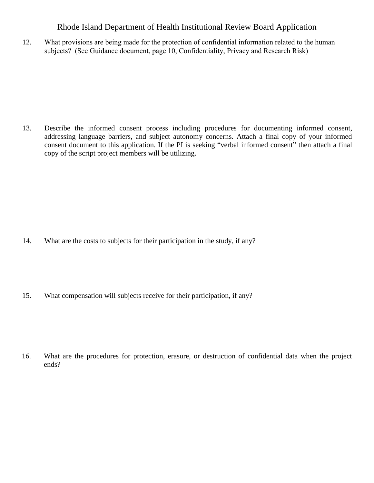12. What provisions are being made for the protection of confidential information related to the human subjects? (See Guidance document, page 10, Confidentiality, Privacy and Research Risk)

13. Describe the informed consent process including procedures for documenting informed consent, addressing language barriers, and subject autonomy concerns. Attach a final copy of your informed consent document to this application. If the PI is seeking "verbal informed consent" then attach a final copy of the script project members will be utilizing.

- 14. What are the costs to subjects for their participation in the study, if any?
- 15. What compensation will subjects receive for their participation, if any?

16. What are the procedures for protection, erasure, or destruction of confidential data when the project ends?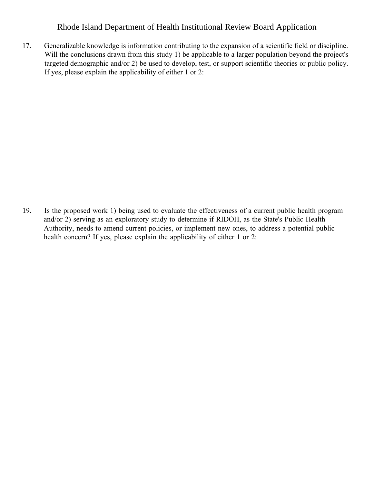17. Generalizable knowledge is information contributing to the expansion of a scientific field or discipline. Will the conclusions drawn from this study 1) be applicable to a larger population beyond the project's targeted demographic and/or 2) be used to develop, test, or support scientific theories or public policy. If yes, please explain the applicability of either 1 or 2:

19. Is the proposed work 1) being used to evaluate the effectiveness of a current public health program and/or 2) serving as an exploratory study to determine if RIDOH, as the State's Public Health Authority, needs to amend current policies, or implement new ones, to address a potential public health concern? If yes, please explain the applicability of either 1 or 2: